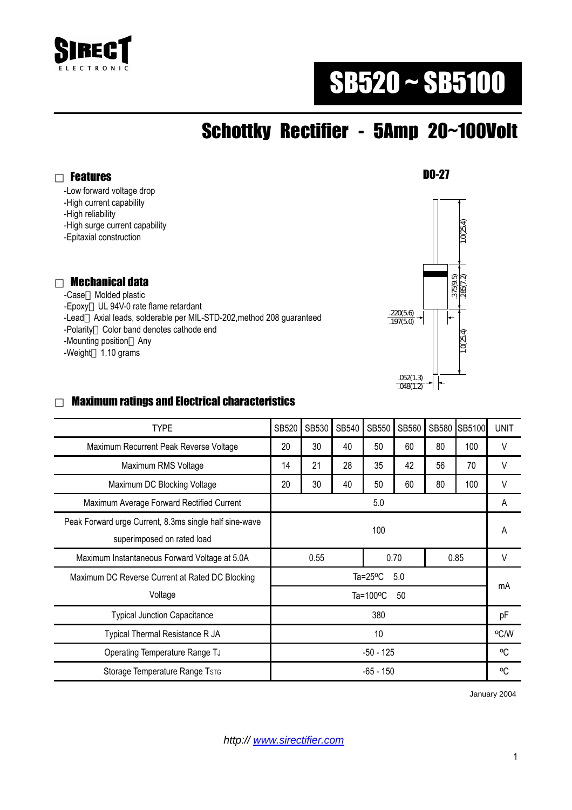

# SB520 ~ SB5100

## Schottky Rectifier - 5Amp 20~100Volt

DO-27

-Low forward voltage drop

-High current capability

-High reliability

Features

-High surge current capability

-Epitaxial construction

#### Mechanical data

 -Case Molded plastic -Epoxy UL 94V-0 rate flame retardant -Lead Axial leads, solderable per MIL-STD-202,method 208 guaranteed -Polarity Color band denotes cathode end -Mounting position Any -Weight 1.10 grams



#### Maximum ratings and Electrical characteristics

| <b>TYPE</b>                                                                          | <b>SB520</b>              | SB530 | SB540 | <b>SB550</b> | SB560 | SB580 | SB5100 | <b>UNIT</b> |
|--------------------------------------------------------------------------------------|---------------------------|-------|-------|--------------|-------|-------|--------|-------------|
| Maximum Recurrent Peak Reverse Voltage                                               | 20                        | 30    | 40    | 50           | 60    | 80    | 100    | $\vee$      |
| Maximum RMS Voltage                                                                  | 14                        | 21    | 28    | 35           | 42    | 56    | 70     | V           |
| Maximum DC Blocking Voltage                                                          | 20                        | 30    | 40    | 50           | 60    | 80    | 100    | V           |
| Maximum Average Forward Rectified Current                                            | 5.0                       |       |       |              |       |       |        | A           |
| Peak Forward urge Current, 8.3ms single half sine-wave<br>superimposed on rated load | 100                       |       |       |              |       |       |        | A           |
| Maximum Instantaneous Forward Voltage at 5.0A                                        | 0.55                      |       |       | 0.70         |       | 0.85  |        | V           |
| Maximum DC Reverse Current at Rated DC Blocking                                      | Ta= $25^{\circ}$ C<br>5.0 |       |       |              |       |       |        | mA          |
| Voltage                                                                              | Ta=100 $\degree$ C<br>50  |       |       |              |       |       |        |             |
| <b>Typical Junction Capacitance</b>                                                  | 380                       |       |       |              |       |       |        | pF          |
| Typical Thermal Resistance R JA                                                      | 10                        |       |       |              |       |       |        | °C/W        |
| Operating Temperature Range TJ                                                       | $-50 - 125$               |       |       |              |       |       |        | °C          |
| Storage Temperature Range TsTG                                                       | -65 - 150                 |       |       |              |       |       |        | °C          |

January 2004